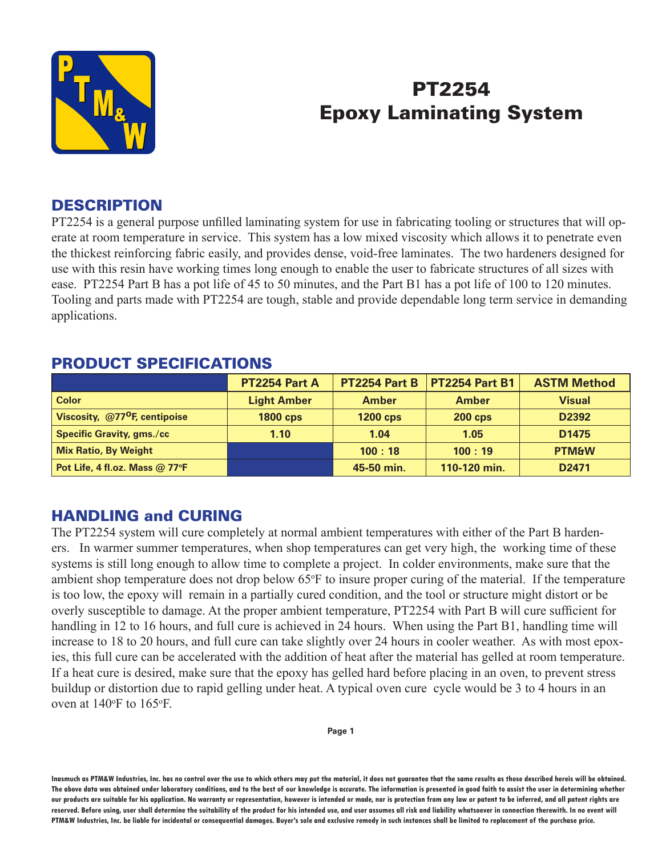

# PT2254 Epoxy Laminating System

### **DESCRIPTION**

PT2254 is a general purpose unfilled laminating system for use in fabricating tooling or structures that will operate at room temperature in service. This system has a low mixed viscosity which allows it to penetrate even the thickest reinforcing fabric easily, and provides dense, void-free laminates. The two hardeners designed for use with this resin have working times long enough to enable the user to fabricate structures of all sizes with ease. PT2254 Part B has a pot life of 45 to 50 minutes, and the Part B1 has a pot life of 100 to 120 minutes. Tooling and parts made with PT2254 are tough, stable and provide dependable long term service in demanding applications.

# PRODUCT SPECIFICATIONS

|                                           | <b>PT2254 Part A</b> | PT2254 Part B   | <b>PT2254 Part B1</b> | <b>ASTM Method</b> |
|-------------------------------------------|----------------------|-----------------|-----------------------|--------------------|
| <b>Color</b>                              | <b>Light Amber</b>   | <b>Amber</b>    | <b>Amber</b>          | <b>Visual</b>      |
| Viscosity, @77 <sup>o</sup> F, centipoise | <b>1800 cps</b>      | <b>1200 cps</b> | $200$ cps             | D2392              |
| <b>Specific Gravity, gms./cc</b>          | 1.10                 | 1.04            | 1.05                  | D <sub>1475</sub>  |
| <b>Mix Ratio, By Weight</b>               |                      | 100:18          | 100:19                | <b>PTM&amp;W</b>   |
| Pot Life, 4 fl.oz. Mass @ 77°F            |                      | 45-50 min.      | 110-120 min.          | D <sub>2471</sub>  |

# HANDLING and CURING

The PT2254 system will cure completely at normal ambient temperatures with either of the Part B hardeners. In warmer summer temperatures, when shop temperatures can get very high, the working time of these systems is still long enough to allow time to complete a project. In colder environments, make sure that the ambient shop temperature does not drop below 65°F to insure proper curing of the material. If the temperature is too low, the epoxy will remain in a partially cured condition, and the tool or structure might distort or be overly susceptible to damage. At the proper ambient temperature, PT2254 with Part B will cure sufficient for handling in 12 to 16 hours, and full cure is achieved in 24 hours. When using the Part B1, handling time will increase to 18 to 20 hours, and full cure can take slightly over 24 hours in cooler weather. As with most epoxies, this full cure can be accelerated with the addition of heat after the material has gelled at room temperature. If a heat cure is desired, make sure that the epoxy has gelled hard before placing in an oven, to prevent stress buildup or distortion due to rapid gelling under heat. A typical oven cure cycle would be 3 to 4 hours in an oven at  $140^{\circ}$ F to  $165^{\circ}$ F.

**Page 1**

**Inasmuch as PTM&W Industries, Inc. has no control over the use to which others may put the material, it does not guarantee that the same results as those described hereis will be obtained.**  The above data was obtained under laboratory conditions, and to the best of our knowledge is accurate. The information is presented in good faith to assist the user in determining whether **our products are suitable for his application. No warranty or representation, however is intended or made, nor is protection from any law or patent to be inferred, and all patent rights are**  reserved. Before using, user shall determine the suitability of the product for his intended use, and user assumes all risk and liability whatsoever in connection therewith. In no event will **PTM&W Industries, Inc. be liable for incidental or consequential damages. Buyer's sole and exclusive remedy in such instances shall be limited to replacement of the purchase price.**